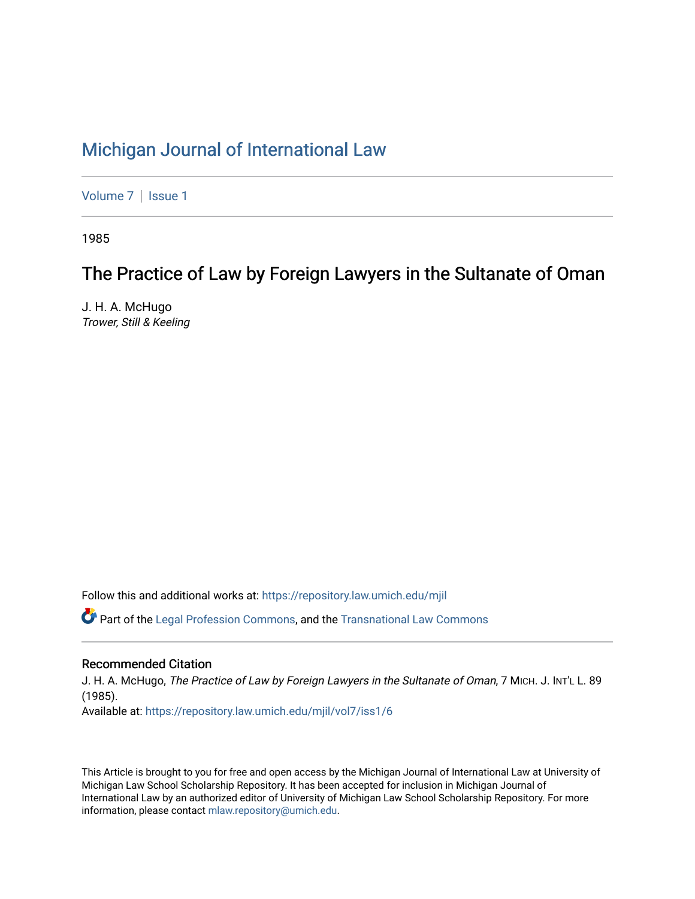# [Michigan Journal of International Law](https://repository.law.umich.edu/mjil)

[Volume 7](https://repository.law.umich.edu/mjil/vol7) | Issue 1

1985

# The Practice of Law by Foreign Lawyers in the Sultanate of Oman

J. H. A. McHugo Trower, Still & Keeling

Follow this and additional works at: [https://repository.law.umich.edu/mjil](https://repository.law.umich.edu/mjil?utm_source=repository.law.umich.edu%2Fmjil%2Fvol7%2Fiss1%2F6&utm_medium=PDF&utm_campaign=PDFCoverPages) 

 $\bullet$  Part of the [Legal Profession Commons](http://network.bepress.com/hgg/discipline/1075?utm_source=repository.law.umich.edu%2Fmjil%2Fvol7%2Fiss1%2F6&utm_medium=PDF&utm_campaign=PDFCoverPages), and the [Transnational Law Commons](http://network.bepress.com/hgg/discipline/1123?utm_source=repository.law.umich.edu%2Fmjil%2Fvol7%2Fiss1%2F6&utm_medium=PDF&utm_campaign=PDFCoverPages)

## Recommended Citation

J. H. A. McHugo, The Practice of Law by Foreign Lawyers in the Sultanate of Oman, 7 MICH. J. INT'L L. 89 (1985). Available at: [https://repository.law.umich.edu/mjil/vol7/iss1/6](https://repository.law.umich.edu/mjil/vol7/iss1/6?utm_source=repository.law.umich.edu%2Fmjil%2Fvol7%2Fiss1%2F6&utm_medium=PDF&utm_campaign=PDFCoverPages)

This Article is brought to you for free and open access by the Michigan Journal of International Law at University of Michigan Law School Scholarship Repository. It has been accepted for inclusion in Michigan Journal of International Law by an authorized editor of University of Michigan Law School Scholarship Repository. For more information, please contact [mlaw.repository@umich.edu](mailto:mlaw.repository@umich.edu).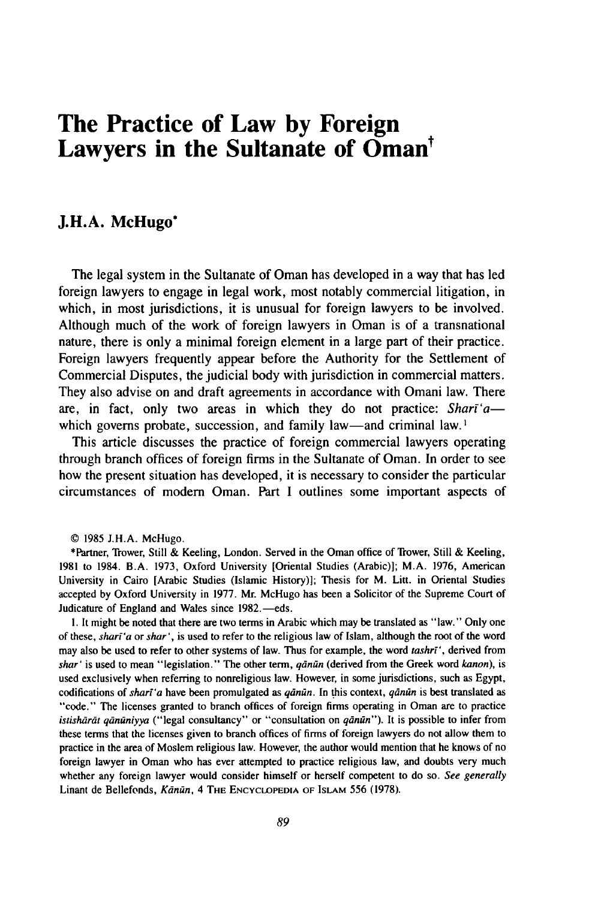## **The Practice of Law by Foreign** Lawyers in the Sultanate of Oman<sup>t</sup>

## **J.H.A. McHugo\***

The legal system in the Sultanate of Oman has developed in a way that has led foreign lawyers to engage in legal work, most notably commercial litigation, in which, in most jurisdictions, it is unusual for foreign lawyers to be involved. Although much of the work of foreign lawyers in Oman is of a transnational nature, there is only a minimal foreign element in a large part of their practice. Foreign lawyers frequently appear before the Authority for the Settlement of Commercial Disputes, the judicial body with jurisdiction in commercial matters. They also advise on and draft agreements in accordance with Omani law. There are, in fact, only two areas in which they do not practice: Shari'awhich governs probate, succession, and family law—and criminal law.<sup>1</sup>

This article discusses the practice of foreign commercial lawyers operating through branch offices of foreign firms in the Sultanate of Oman. In order to see how the present situation has developed, it is necessary to consider the particular circumstances of modern Oman. Part I outlines some important aspects of

© 1985 J.H.A. McHugo.

\*Partner, Trower, Still & Keeling, London. Served in the Oman office of Trower, Still & Keeling, 1981 to 1984. B.A. 1973, Oxford University [Oriental Studies (Arabic)]; M.A. 1976, American University in Cairo [Arabic Studies (Islamic History)]; Thesis for M. Litt. in Oriental Studies accepted by Oxford University in 1977. Mr. McHugo has been a Solicitor of the Supreme Court of Judicature of England and Wales since 1982.—eds.

**1.** It might be noted that there are two terms in Arabic which may be translated as "law." Only one of these, *shar'a* or *shar',* is used to refer to the religious law of Islam, although the root of the word may also be used to refer to other systems of law. Thus for example, the word *tashr',* derived from *shar'* is used to mean "legislation." The other term, *qdnan* (derived from the Greek word *kanon),* is used exclusively when referring to nonreligious law. However, in some jurisdictions, such as Egypt, codifications of *sharl'a* have been promulgated as *qdnan.* In this context, *qdnan* is best translated as "code." The licenses granted to branch offices of foreign firms operating in Oman are to practice istishārāt qānūniyya ("legal consultancy" or "consultation on qānūn"). It is possible to infer from these terms that the licenses given to branch offices of firms of foreign lawyers do not allow them to practice in the area of Moslem religious law. However, the author would mention that he knows of no foreign lawyer in Oman who has ever attempted to practice religious law, and doubts very much whether any foreign lawyer would consider himself or herself competent to do so. *See generally* Linant de Bellefonds, *Kdnan,* 4 **THE ENCYCLOPEDIA** OF ISLAM 556 **(1978).**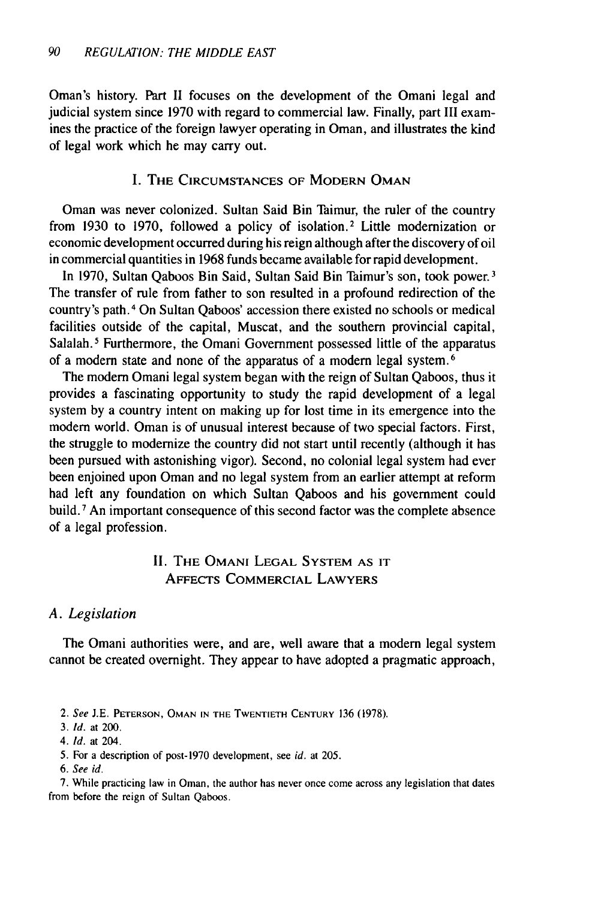Oman's history. Part II focuses on the development of the Omani legal and judicial system since 1970 with regard to commercial law. Finally, part III examines the practice of the foreign lawyer operating in Oman, and illustrates the kind of legal work which he may carry out.

## I. THE **CIRCUMSTANCES OF** MODERN **OMAN**

Oman was never colonized. Sultan Said Bin Taimur, the ruler of the country from **1930** to **1970,** followed a policy of isolation.2 Little modernization or economic development occurred during his reign although after the discovery of oil in commercial quantities in 1968 funds became available for rapid development.

In 1970, Sultan Qaboos Bin Said, Sultan Said Bin Taimur's son, took power.<sup>3</sup> The transfer of rule from father to son resulted in a profound redirection of the country's path. 4 On Sultan Qaboos' accession there existed no schools or medical facilities outside of the capital, Muscat, and the southern provincial capital, Salalah.<sup>5</sup> Furthermore, the Omani Government possessed little of the apparatus of a modem state and none of the apparatus of a modem legal system. <sup>6</sup>

The modern Omani legal system began with the reign of Sultan Qaboos, thus it provides a fascinating opportunity to study the rapid development of a legal system by a country intent on making up for lost time in its emergence into the modern world. Oman is of unusual interest because of two special factors. First, the struggle to modernize the country did not start until recently (although it has been pursued with astonishing vigor). Second, no colonial legal system had ever been enjoined upon Oman and no legal system from an earlier attempt at reform had left any foundation on which Sultan Qaboos and his government could build. 7 An important consequence of this second factor was the complete absence of a legal profession.

## **II.** THE OMANI **LEGAL** SYSTEM **AS** IT **AFFECTS** COMMERCIAL LAWYERS

## *A. Legislation*

The Omani authorities were, and are, well aware that a modern legal system cannot be created overnight. They appear to have adopted a pragmatic approach,

- **3.** *Id.* at 200.
- 4. **Id.** at 204.
- 5. For a description of post-1970 development, see id. at 205.
- *6. See id.*

7. While practicing law in Oman, the author has never once come across any legislation that dates from before the reign of Sultan Qaboos.

<sup>2.</sup> *See* J.E. **PETERSON, OMAN IN THE** TWENTIETH **CENTURY** 136 (1978).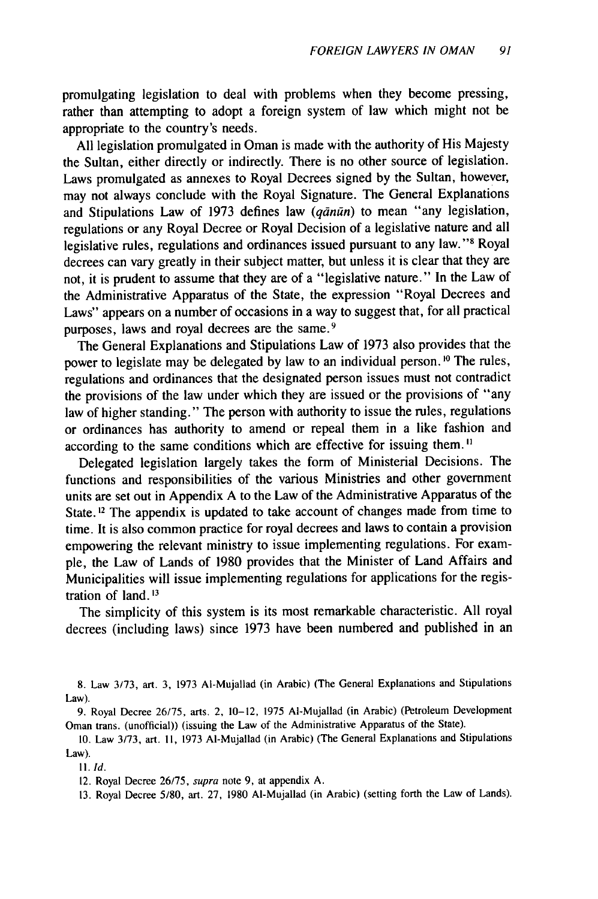promulgating legislation to deal with problems when they become pressing, rather than attempting to adopt a foreign system of law which might not be appropriate to the country's needs.

All legislation promulgated in Oman is made with the authority of His Majesty the Sultan, either directly or indirectly. There is no other source of legislation. Laws promulgated as annexes to Royal Decrees signed by the Sultan, however, may not always conclude with the Royal Signature. The General Explanations and Stipulations Law of 1973 defines law *(qānūn)* to mean "any legislation, regulations or any Royal Decree or Royal Decision of a legislative nature and all legislative rules, regulations and ordinances issued pursuant to any law."<sup>8</sup> Royal decrees can vary greatly in their subject matter, but unless it is clear that they are not, it is prudent to assume that they are of a "legislative nature." In the Law of the Administrative Apparatus of the State, the expression "Royal Decrees and Laws" appears on a number of occasions in a way to suggest that, for all practical purposes, laws and royal decrees are the same. <sup>9</sup>

The General Explanations and Stipulations Law of 1973 also provides that the power to legislate may be delegated by law to an individual person. **' <sup>0</sup>**The rules, regulations and ordinances that the designated person issues must not contradict the provisions of the law under which they are issued or the provisions of "any law of higher standing." The person with authority to issue the rules, regulations or ordinances has authority to amend or repeal them in a like fashion and according to the same conditions which are effective for issuing them.<sup>11</sup>

Delegated legislation largely takes the form of Ministerial Decisions. The functions and responsibilities of the various Ministries and other government units are set out in Appendix A to the Law of the Administrative Apparatus of the State.<sup>12</sup> The appendix is updated to take account of changes made from time to time. It is also common practice for royal decrees and laws to contain a provision empowering the relevant ministry to issue implementing regulations. For example, the Law of Lands of 1980 provides that the Minister of Land Affairs and Municipalities will issue implementing regulations for applications for the registration of land. $13$ 

The simplicity of this system is its most remarkable characteristic. All royal decrees (including laws) since 1973 have been numbered and published in an

**I1.** *Id.*

12. Royal Decree 26/75, supra note 9, at appendix A.

13. Royal Decree 5/80, art. 27, 1980 AI-Mujallad (in Arabic) (setting forth the Law of Lands).

<sup>8.</sup> Law 3/73, art. 3, 1973 AI-Mujallad (in Arabic) (The General Explanations and Stipulations Law).

<sup>9.</sup> Royal Decree 26/75, arts. 2, 10-12, 1975 AI-Mujallad (in Arabic) (Petroleum Development Oman trans. (unofficial)) (issuing the Law of the Administrative Apparatus of the State).

<sup>10.</sup> Law 3/73, art. II, 1973 AI-Mujallad (in Arabic) (The General Explanations and Stipulations Law).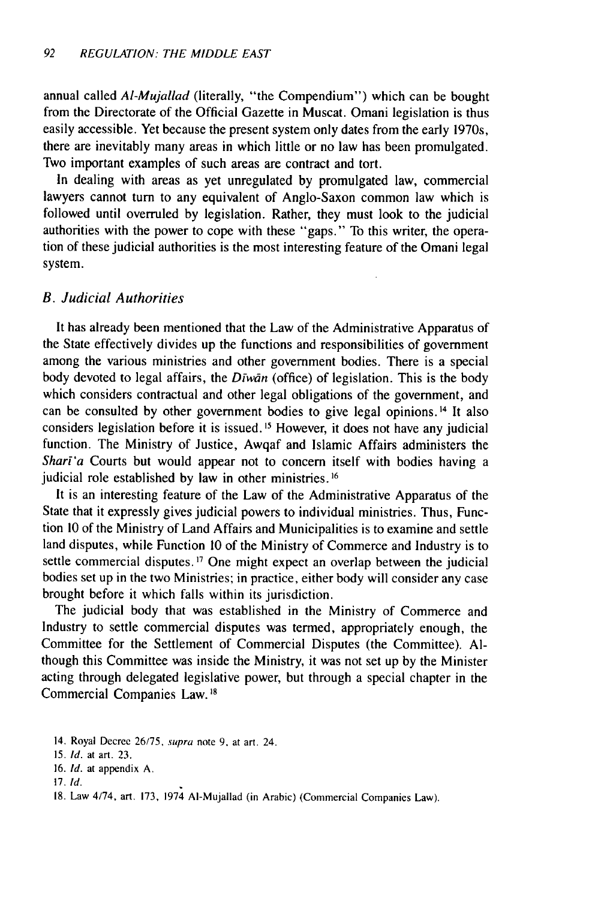annual called *AI-Mujallad* (literally, "the Compendium") which can be bought from the Directorate of the Official Gazette in Muscat. Omani legislation is thus easily accessible. Yet because the present system only dates from the early 1970s, there are inevitably many areas in which little or no law has been promulgated. Two important examples of such areas are contract and tort.

In dealing with areas as yet unregulated by promulgated law, commercial lawyers cannot turn to any equivalent of Anglo-Saxon common law which is followed until overruled by legislation. Rather, they must look to the judicial authorities with the power to cope with these "gaps." To this writer, the operation of these judicial authorities is the most interesting feature of the Omani legal system.

#### *B. Judicial Authorities*

It has already been mentioned that the Law of the Administrative Apparatus of the State effectively divides up the functions and responsibilities of government among the various ministries and other government bodies. There is a special body devoted to legal affairs, the *Dīwān* (office) of legislation. This is the body which considers contractual and other legal obligations of the government, and can be consulted by other government bodies to give legal opinions.<sup>14</sup> It also considers legislation before it is issued. **1 <sup>5</sup>**However, it does not have any judicial function. The Ministry of Justice, Awqaf and Islamic Affairs administers the *Shart'a* Courts but would appear not to concern itself with bodies having a judicial role established by law in other ministries. **16**

It is an interesting feature of the Law of the Administrative Apparatus of the State that it expressly gives judicial powers to individual ministries. Thus, Function 10 of the Ministry of Land Affairs and Municipalities is to examine and settle land disputes, while Function 10 of the Ministry of Commerce and Industry is to settle commercial disputes. **'7** One might expect an overlap between the judicial bodies set up in the two Ministries; in practice, either body will consider any case brought before it which falls within its jurisdiction.

The judicial body that was established in the Ministry of Commerce and Industry to settle commercial disputes was termed, appropriately enough, the Committee for the Settlement of Commercial Disputes (the Committee). Although this Committee was inside the Ministry, it was not set up by the Minister acting through delegated legislative power, but through a special chapter in the Commercial Companies Law. **8**

<sup>14.</sup> Royal Decree 26/75, supra note **9,** at art. 24.

<sup>15.</sup> Id. at art. 23.

<sup>16.</sup> Id. at appendix A.

<sup>17.</sup> *Id.*

<sup>18.</sup> Law 4/74, art. 173, 1974 AI-Mujallad (in Arabic) (Commercial Companies Law).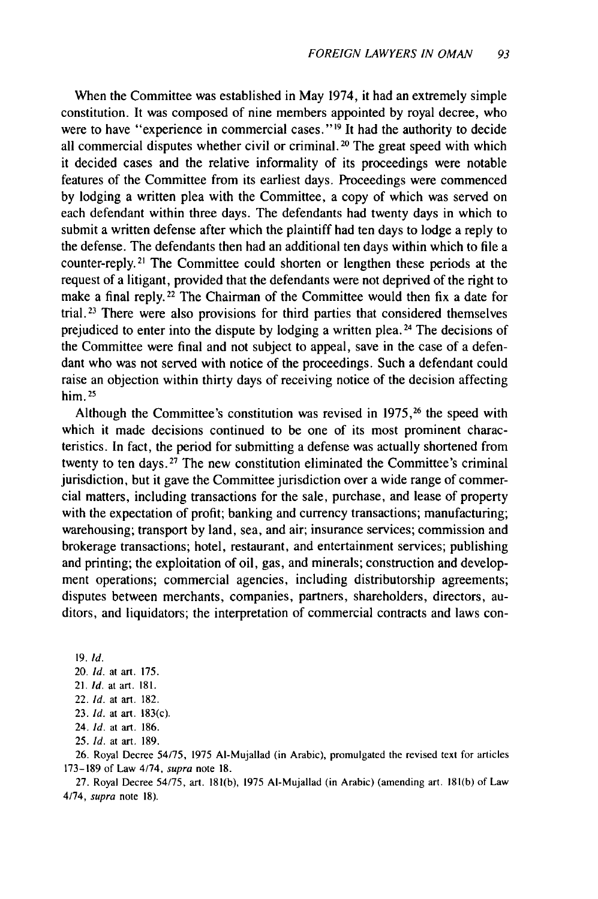When the Committee was established in May 1974, it had an extremely simple constitution. It was composed of nine members appointed by royal decree, who were to have "experience in commercial cases."<sup>19</sup> It had the authority to decide all commercial disputes whether civil or criminal. 20 The great speed with which it decided cases and the relative informality of its proceedings were notable features of the Committee from its earliest days. Proceedings were commenced by lodging a written plea with the Committee, a copy of which was served on each defendant within three days. The defendants had twenty days in which to submit a written defense after which the plaintiff had ten days to lodge a reply to the defense. The defendants then had an additional ten days within which to file a counter-reply.<sup>21</sup> The Committee could shorten or lengthen these periods at the request of a litigant, provided that the defendants were not deprived of the right to make a final reply.<sup>22</sup> The Chairman of the Committee would then fix a date for trial. 23 There were also provisions for third parties that considered themselves prejudiced to enter into the dispute by lodging a written plea. 24 The decisions of the Committee were final and not subject to appeal, save in the case of a defendant who was not served with notice of the proceedings. Such a defendant could raise an objection within thirty days of receiving notice of the decision affecting him.<sup>25</sup>

Although the Committee's constitution was revised in 1975,<sup>26</sup> the speed with which it made decisions continued to be one of its most prominent characteristics. In fact, the period for submitting a defense was actually shortened from twenty to ten days. 27 The new constitution eliminated the Committee's criminal jurisdiction, but it gave the Committee jurisdiction over a wide range of commercial matters, including transactions for the sale, purchase, and lease of property with the expectation of profit; banking and currency transactions; manufacturing; warehousing; transport by land, sea, and air; insurance services; commission and brokerage transactions; hotel, restaurant, and entertainment services; publishing and printing; the exploitation of oil, gas, and minerals; construction and development operations; commercial agencies, including distributorship agreements; disputes between merchants, companies, partners, shareholders, directors, auditors, and liquidators; the interpretation of commercial contracts and laws con-

19. Id. 20. Id. at art. 175. 21. Id. at art. 181.

- 22. *Id.* at art. 182.
- 23. *Id.* at art. 183(c).
- 24. Id. at art. 186.
- 25. **Id.** at art. 189.

26. Royal Decree 54/75, 1975 AI-Mujallad (in Arabic), promulgated the revised text for articles 173-189 of Law 4/74, supra note 18.

27. Royal Decree 54/75, art. 181(b), 1975 AI-Mujallad (in Arabic) (amending art. 181(b) of Law 4/74, supra note 18).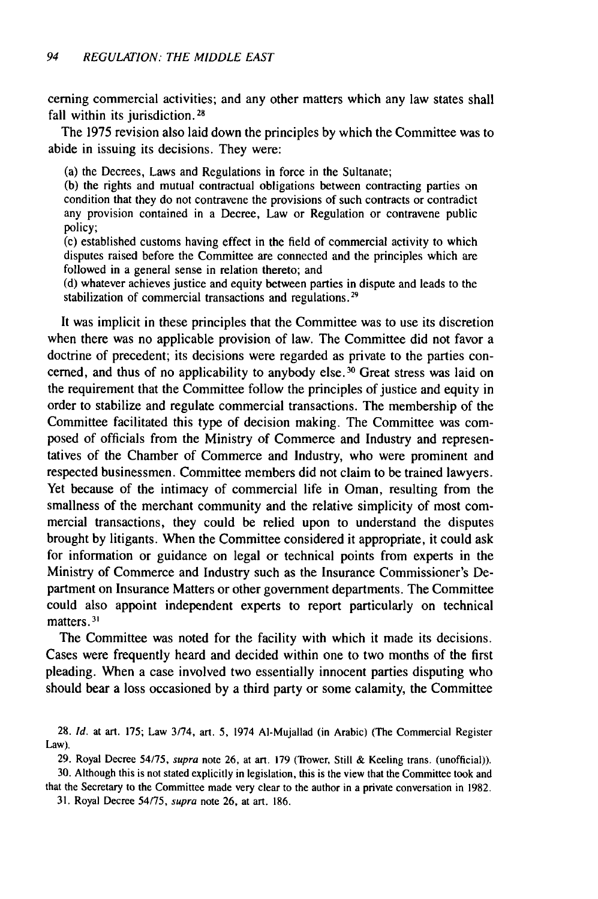cerning commercial activities; and any other matters which any law states shall fall within its jurisdiction.<sup>28</sup>

The 1975 revision also laid down the principles by which the Committee was to abide in issuing its decisions. They were:

(a) the Decrees, Laws and Regulations in force in the Sultanate;

(b) the rights and mutual contractual obligations between contracting parties on condition that they do not contravene the provisions of such contracts or contradict any provision contained in a Decree, Law or Regulation or contravene public policy;

(c) established customs having effect in the field of commercial activity to which disputes raised before the Committee are connected and the principles which are followed in a general sense in relation thereto; and

(d) whatever achieves justice and equity between parties in dispute and leads to the stabilization of commercial transactions and regulations.<sup>29</sup>

It was implicit in these principles that the Committee was to use its discretion when there was no applicable provision of law. The Committee did not favor a doctrine of precedent; its decisions were regarded as private to the parties concerned, and thus of no applicability to anybody else.<sup>30</sup> Great stress was laid on the requirement that the Committee follow the principles of justice and equity in order to stabilize and regulate commercial transactions. The membership of the Committee facilitated this type of decision making. The Committee was composed of officials from the Ministry of Commerce and Industry and representatives of the Chamber of Commerce and Industry, who were prominent and respected businessmen. Committee members did not claim to be trained lawyers. Yet because of the intimacy of commercial life in Oman, resulting from the smallness of the merchant community and the relative simplicity of most commercial transactions, they could be relied upon to understand the disputes brought by litigants. When the Committee considered it appropriate, it could ask for information or guidance on legal or technical points from experts in the Ministry of Commerce and Industry such as the Insurance Commissioner's Department on Insurance Matters or other government departments. The Committee could also appoint independent experts to report particularly on technical matters.<sup>31</sup>

The Committee was noted for the facility with which it made its decisions. Cases were frequently heard and decided within one to two months of the first pleading. When a case involved two essentially innocent parties disputing who should bear a loss occasioned by a third party or some calamity, the Committee

<sup>28.</sup> **Id.** at art. 175; Law 3/74, art. 5, 1974 AI-Mujallad (in Arabic) (The Commercial Register Law).

<sup>29.</sup> Royal Decree 54/75, supra note 26, at art. 179 (Trower, Still & Keeling trans. (unofficial)). 30. Although this is not stated explicitly in legislation, this is the view that the Committee took and

that the Secretary to the Committee made very clear to the author in a private conversation in 1982. 31. Royal Decree 54/75, supra note 26, at art. 186.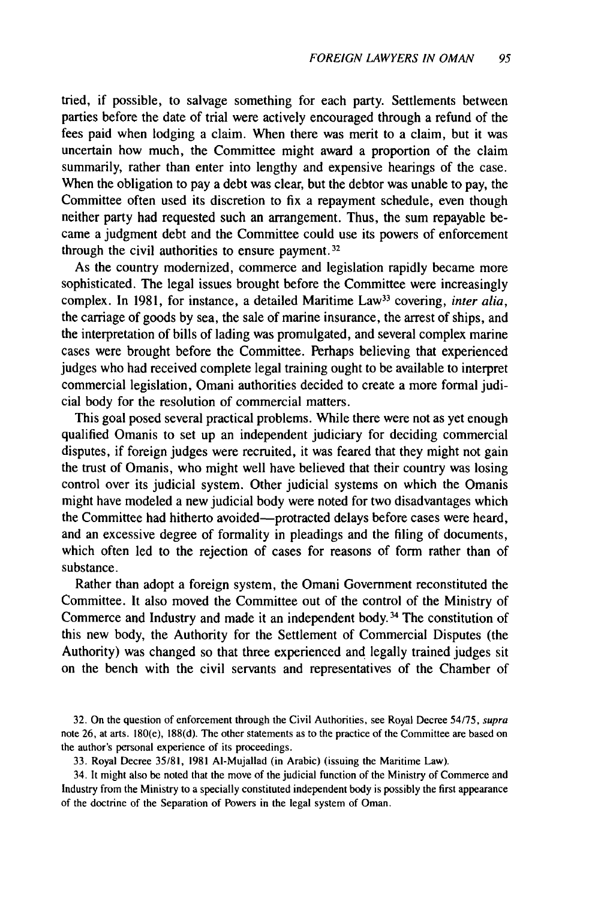tried, if possible, to salvage something for each party. Settlements between parties before the date of trial were actively encouraged through a refund of the fees paid when lodging a claim. When there was merit to a claim, but it was uncertain how much, the Committee might award a proportion of the claim summarily, rather than enter into lengthy and expensive hearings of the case. When the obligation to pay a debt was clear, but the debtor was unable to pay, the Committee often used its discretion to fix a repayment schedule, even though neither party had requested such an arrangement. Thus, the sum repayable became a judgment debt and the Committee could use its powers of enforcement through the civil authorities to ensure payment. **<sup>3</sup> <sup>2</sup>**

As the country modernized, commerce and legislation rapidly became more sophisticated. The legal issues brought before the Committee were increasingly complex. In 1981, for instance, a detailed Maritime Law<sup>33</sup> covering, *inter alia*, the carriage of goods by sea, the sale of marine insurance, the arrest of ships, and the interpretation of bills of lading was promulgated, and several complex marine cases were brought before the Committee. Perhaps believing that experienced judges who had received complete legal training ought to be available to interpret commercial legislation, Omani authorities decided to create a more formal judicial body for the resolution of commercial matters.

This goal posed several practical problems. While there were not as yet enough qualified Omanis to set up an independent judiciary for deciding commercial disputes, if foreign judges were recruited, it was feared that they might not gain the trust of Omanis, who might well have believed that their country was losing control over its judicial system. Other judicial systems on which the Omanis might have modeled a new judicial body were noted for two disadvantages which the Committee had hitherto avoided-protracted delays before cases were heard, and an excessive degree of formality in pleadings and the filing of documents, which often led to the rejection of cases for reasons of form rather than of substance.

Rather than adopt a foreign system, the Omani Government reconstituted the Committee. It also moved the Committee out of the control of the Ministry of Commerce and Industry and made it an independent body. 34 The constitution of this new body, the Authority for the Settlement of Commercial Disputes (the Authority) was changed so that three experienced and legally trained judges sit on the bench with the civil servants and representatives of the Chamber of

32. On the question of enforcement through the Civil Authorities, see Royal Decree 54/75, supra note 26, at arts. 180(e), 188(d). The other statements as to the practice of the Committee are based on the author's personal experience of its proceedings.

33. Royal Decree 35/81, 1981 AI-Mujallad (in Arabic) (issuing the Maritime Law).

34. It might also be noted that the move of the judicial function of the Ministry of Commerce and Industry from the Ministry to a specially constituted independent body is possibly the first appearance of the doctrine of the Separation of Powers in the legal system of Oman.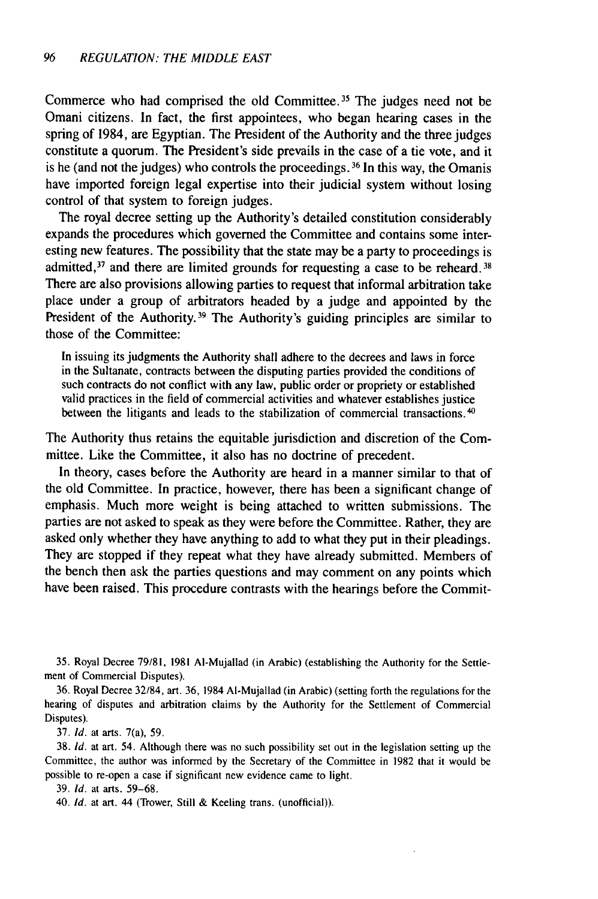Commerce who had comprised the old Committee. 35 The judges need not be Omani citizens. In fact, the first appointees, who began hearing cases in the spring of 1984, are Egyptian. The President of the Authority and the three judges constitute a quorum. The President's side prevails in the case of a tie vote, and it is he (and not the judges) who controls the proceedings.<sup>36</sup> In this way, the Omanis have imported foreign legal expertise into their judicial system without losing control of that system to foreign judges.

The royal decree setting up the Authority's detailed constitution considerably expands the procedures which governed the Committee and contains some interesting new features. The possibility that the state may be a party to proceedings is admitted,  $37$  and there are limited grounds for requesting a case to be reheard.  $38$ There are also provisions allowing parties to request that informal arbitration take place under a group of arbitrators headed by a judge and appointed by the President of the Authority.<sup>39</sup> The Authority's guiding principles are similar to those of the Committee:

In issuing its judgments the Authority shall adhere to the decrees and laws in force in the Sultanate, contracts between the disputing parties provided the conditions of such contracts do not conflict with any law, public order or propriety or established valid practices in the field of commercial activities and whatever establishes justice between the litigants and leads to the stabilization of commercial transactions.<sup>40</sup>

The Authority thus retains the equitable jurisdiction and discretion of the Committee. Like the Committee, it also has no doctrine of precedent.

In theory, cases before the Authority are heard in a manner similar to that of the old Committee. In practice, however, there has been a significant change of emphasis. Much more weight is being attached to written submissions. The parties are not asked to speak as they were before the Committee. Rather, they are asked only whether they have anything to add to what they put in their pleadings. They are stopped if they repeat what they have already submitted. Members of the bench then ask the parties questions and may comment on any points which have been raised. This procedure contrasts with the hearings before the Commit-

35. Royal Decree 79/81, 1981 Al-Mujallad (in Arabic) (establishing the Authority for the Settlement of Commercial Disputes).

36. Royal Decree 32/84, art. 36, 1984 AI-Mujallad (in Arabic) (setting forth the regulations for the hearing of disputes and arbitration claims by the Authority for the Settlement of Commercial Disputes).

37. Id. at arts. 7(a), 59.

38. *Id.* at art. 54. Although there was no such possibility set out in the legislation setting up the Committee, the author was informed by the Secretary of the Committee in 1982 that it would be possible to re-open a case if significant new evidence came to light.

39. *Id.* at arts. 59-68.

40. Id. at art. 44 (Trower, Still & Keeling trans. (unofficial)).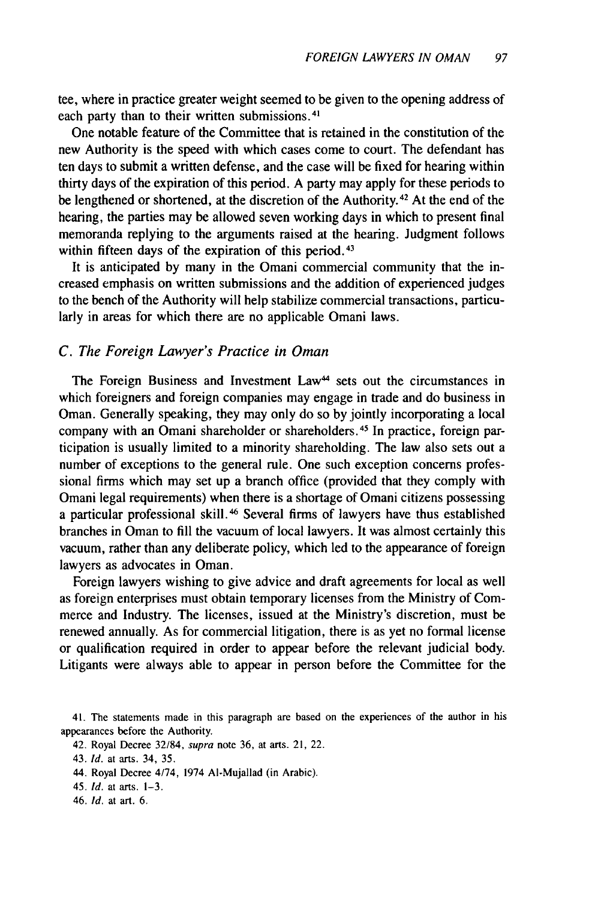tee, where in practice greater weight seemed to be given to the opening address of each party than to their written submissions.<sup>41</sup>

One notable feature of the Committee that is retained in the constitution of the new Authority is the speed with which cases come to court. The defendant has ten days to submit a written defense, and the case will be fixed for hearing within thirty days of the expiration of this period. A party may apply for these periods to be lengthened or shortened, at the discretion of the Authority. 42 At the end of the hearing, the parties may be allowed seven working days in which to present final memoranda replying to the arguments raised at the hearing. Judgment follows within fifteen days of the expiration of this period.<sup>43</sup>

It is anticipated by many in the Omani commercial community that the increased emphasis on written submissions and the addition of experienced judges to the bench of the Authority will help stabilize commercial transactions, particularly in areas for which there are no applicable Omani laws.

#### *C. The Foreign Lawyer's Practice in Oman*

The Foreign Business and Investment Law<sup>44</sup> sets out the circumstances in which foreigners and foreign companies may engage in trade and do business in Oman. Generally speaking, they may only do so by jointly incorporating a local company with an Omani shareholder or shareholders. 45 In practice, foreign participation is usually limited to a minority shareholding. The law also sets out a number of exceptions to the general rule. One such exception concerns professional firms which may set up a branch office (provided that they comply with Omani legal requirements) when there is a shortage of Omani citizens possessing a particular professional skill.<sup>46</sup> Several firms of lawyers have thus established branches in Oman to fill the vacuum of local lawyers. It was almost certainly this vacuum, rather than any deliberate policy, which led to the appearance of foreign lawyers as advocates in Oman.

Foreign lawyers wishing to give advice and draft agreements for local as well as foreign enterprises must obtain temporary licenses from the Ministry of Commerce and Industry. The licenses, issued at the Ministry's discretion, must be renewed annually. As for commercial litigation, there is as yet no formal license or qualification required in order to appear before the relevant judicial body. Litigants were always able to appear in person before the Committee for the

<sup>41.</sup> The statements made in this paragraph are based on the experiences of the author in his appearances before the Authority.

<sup>42.</sup> Royal Decree 32/84, supra note 36, at arts. 21, 22.

<sup>43.</sup> Id. at arts. 34, 35.

<sup>44.</sup> Royal Decree 4/74, 1974 AI-Mujallad (in Arabic).

<sup>45.</sup> Id. at arts. 1-3.

<sup>46.</sup> Id. at art. 6.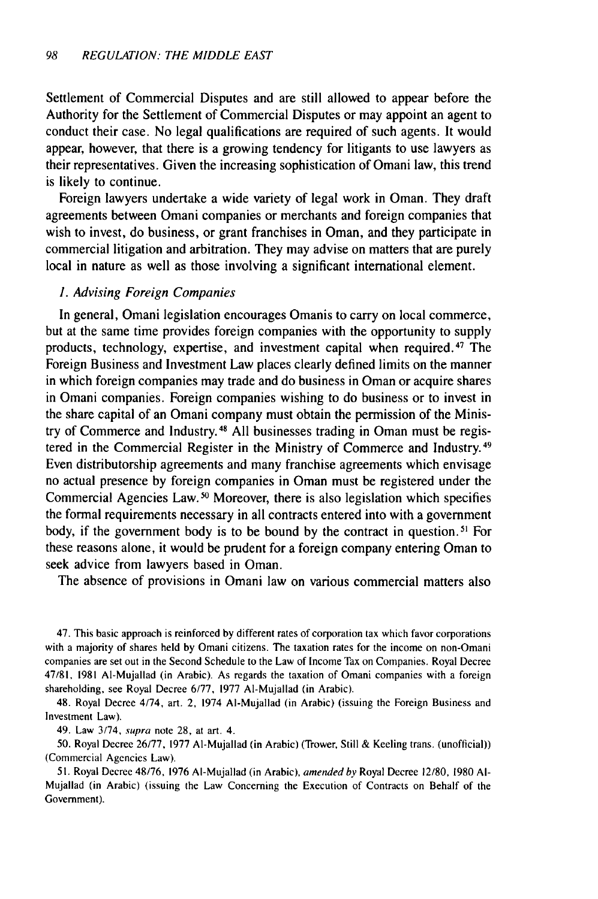Settlement of Commercial Disputes and are still allowed to appear before the Authority for the Settlement of Commercial Disputes or may appoint an agent to conduct their case. No legal qualifications are required of such agents. It would appear, however, that there is a growing tendency for litigants to use lawyers as their representatives. Given the increasing sophistication of Omani law, this trend is likely to continue.

Foreign lawyers undertake a wide variety of legal work in Oman. They draft agreements between Omani companies or merchants and foreign companies that wish to invest, do business, or grant franchises in Oman, and they participate in commercial litigation and arbitration. They may advise on matters that are purely local in nature as well as those involving a significant international element.

#### *1. Advising Foreign Companies*

In general, Omani legislation encourages Omanis to carry on local commerce, but at the same time provides foreign companies with the opportunity to supply products, technology, expertise, and investment capital when required. 47 The Foreign Business and Investment Law places clearly defined limits on the manner in which foreign companies may trade and do business in Oman or acquire shares in Omani companies. Foreign companies wishing to do business or to invest in the share capital of an Omani company must obtain the permission of the Ministry of Commerce and Industry.<sup>48</sup> All businesses trading in Oman must be registered in the Commercial Register in the Ministry of Commerce and Industry. <sup>49</sup> Even distributorship agreements and many franchise agreements which envisage no actual presence by foreign companies in Oman must be registered under the Commercial Agencies Law.<sup>50</sup> Moreover, there is also legislation which specifies the formal requirements necessary in all contracts entered into with a government body, if the government body is to be bound by the contract in question. 51 For these reasons alone, it would be prudent for a foreign company entering Oman to seek advice from lawyers based in Oman.

The absence of provisions in Omani law on various commercial matters also

47. This basic approach is reinforced by different rates of corporation tax which favor corporations with a majority of shares held by Omani citizens. The taxation rates for the income on non-Omani companies are set out in the Second Schedule to the Law of Income Tax on Companies. Royal Decree 47/81, 1981 AI-Mujallad (in Arabic). As regards the taxation of Omani companies with a foreign shareholding, see Royal Decree 6/77, 1977 AI-Mujallad (in Arabic).

48. Royal Decree 4/74, art. 2, 1974 AI-Mujallad (in Arabic) (issuing the Foreign Business and Investment Law).

49. Law 3/74, supra note 28, at art. 4.

50. Royal Decree 26/77, 1977 AI-Mujallad (in Arabic) (Trower, Still & Keeling trans. (unofficial)) (Commercial Agencies Law).

51. Royal Decree 48/76, 1976 AI-Mujallad (in Arabic), amended by Royal Decree 12/80, 1980 **Al-**Mujallad (in Arabic) (issuing the Law Concerning the Execution of Contracts on Behalf of the Government).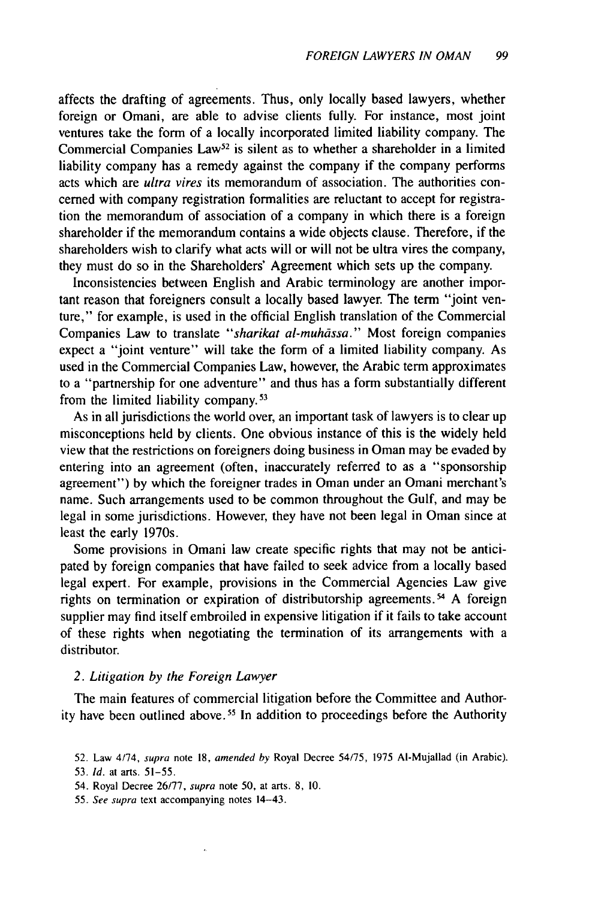affects the drafting of agreements. Thus, only locally based lawyers, whether foreign or Omani, are able to advise clients fully. For instance, most joint ventures take the form of a locally incorporated limited liability company. The Commercial Companies  $Law<sup>52</sup>$  is silent as to whether a shareholder in a limited liability company has a remedy against the company if the company performs acts which are *ultra vires* its memorandum of association. The authorities concerned with company registration formalities are reluctant to accept for registration the memorandum of association of a company in which there is a foreign shareholder if the memorandum contains a wide objects clause. Therefore, if the shareholders wish to clarify what acts will or will not be ultra vires the company, they must do so in the Shareholders' Agreement which sets up the company.

Inconsistencies between English and Arabic terminology are another important reason that foreigners consult a locally based lawyer. The term "joint venture," for example, is used in the official English translation of the Commercial Companies Law to translate "sharikat al-muhāssa." Most foreign companies expect a "joint venture" will take the form of a limited liability company. As used in the Commercial Companies Law, however, the Arabic term approximates to a "partnership for one adventure" and thus has a form substantially different from the limited liability company.<sup>53</sup>

As in all jurisdictions the world over, an important task of lawyers is to clear up misconceptions held by clients. One obvious instance of this is the widely held view that the restrictions on foreigners doing business in Oman may be evaded by entering into an agreement (often, inaccurately referred to as a "sponsorship agreement") by which the foreigner trades in Oman under an Omani merchant's name. Such arrangements used to be common throughout the Gulf, and may be legal in some jurisdictions. However, they have not been legal in Oman since at least the early 1970s.

Some provisions in Omani law create specific rights that may not be anticipated by foreign companies that have failed to seek advice from a locally based legal expert. For example, provisions in the Commercial Agencies Law give rights on termination or expiration of distributorship agreements.<sup>54</sup> A foreign supplier may find itself embroiled in expensive litigation if it fails to take account of these rights when negotiating the termination of its arrangements with a distributor.

#### *2. Litigation by the Foreign Lawyer*

The main features of commercial litigation before the Committee and Authority have been outlined above. 5 In addition to proceedings before the Authority

55. See supra text accompanying notes 14-43.

<sup>52.</sup> Law 4/74, supra note 18, amended by Royal Decree 54/75, 1975 AI-Mujallad (in Arabic). 53. Id. at arts. 51-55.

<sup>54.</sup> Royal Decree 26/77, supra note 50, at arts. 8, 10.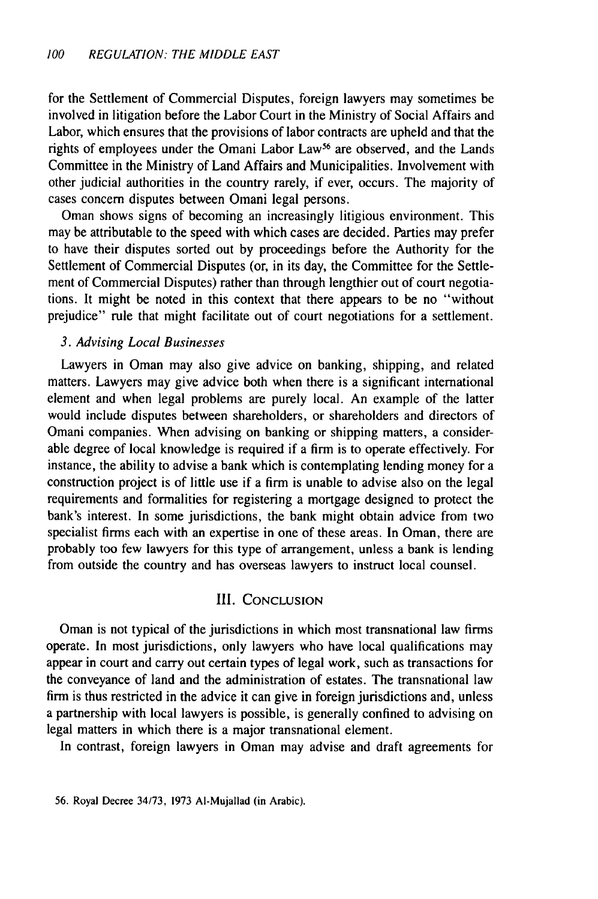for the Settlement of Commercial Disputes, foreign lawyers may sometimes be involved in litigation before the Labor Court in the Ministry of Social Affairs and Labor, which ensures that the provisions of labor contracts are upheld and that the rights of employees under the Omani Labor Law<sup>56</sup> are observed, and the Lands Committee in the Ministry of Land Affairs and Municipalities. Involvement with other judicial authorities in the country rarely, if ever, occurs. The majority of cases concern disputes between Omani legal persons.

Oman shows signs of becoming an increasingly litigious environment. This may be attributable to the speed with which cases are decided. Parties may prefer to have their disputes sorted out by proceedings before the Authority for the Settlement of Commercial Disputes (or, in its day, the Committee for the Settlement of Commercial Disputes) rather than through lengthier out of court negotiations. It might be noted in this context that there appears to be no "without prejudice" rule that might facilitate out of court negotiations for a settlement.

#### 3. Advising Local Businesses

Lawyers in Oman may also give advice on banking, shipping, and related matters. Lawyers may give advice both when there is a significant international element and when legal problems are purely local. An example of the latter would include disputes between shareholders, or shareholders and directors of Omani companies. When advising on banking or shipping matters, a considerable degree of local knowledge is required if a firm is to operate effectively. For instance, the ability to advise a bank which is contemplating lending money for a construction project is of little use if a firm is unable to advise also on the legal requirements and formalities for registering a mortgage designed to protect the bank's interest. In some jurisdictions, the bank might obtain advice from two specialist firms each with an expertise in one of these areas. In Oman, there are probably too few lawyers for this type of arrangement, unless a bank is lending from outside the country and has overseas lawyers to instruct local counsel.

### III. CONCLUSION

Oman is not typical of the jurisdictions in which most transnational law firms operate. In most jurisdictions, only lawyers who have local qualifications may appear in court and carry out certain types of legal work, such as transactions for the conveyance of land and the administration of estates. The transnational law firm is thus restricted in the advice it can give in foreign jurisdictions and, unless a partnership with local lawyers is possible, is generally confined to advising on legal matters in which there is a major transnational element.

In contrast, foreign lawyers in Oman may advise and draft agreements for

56. Royal Decree 34/73, 1973 AI-Mujallad (in Arabic).